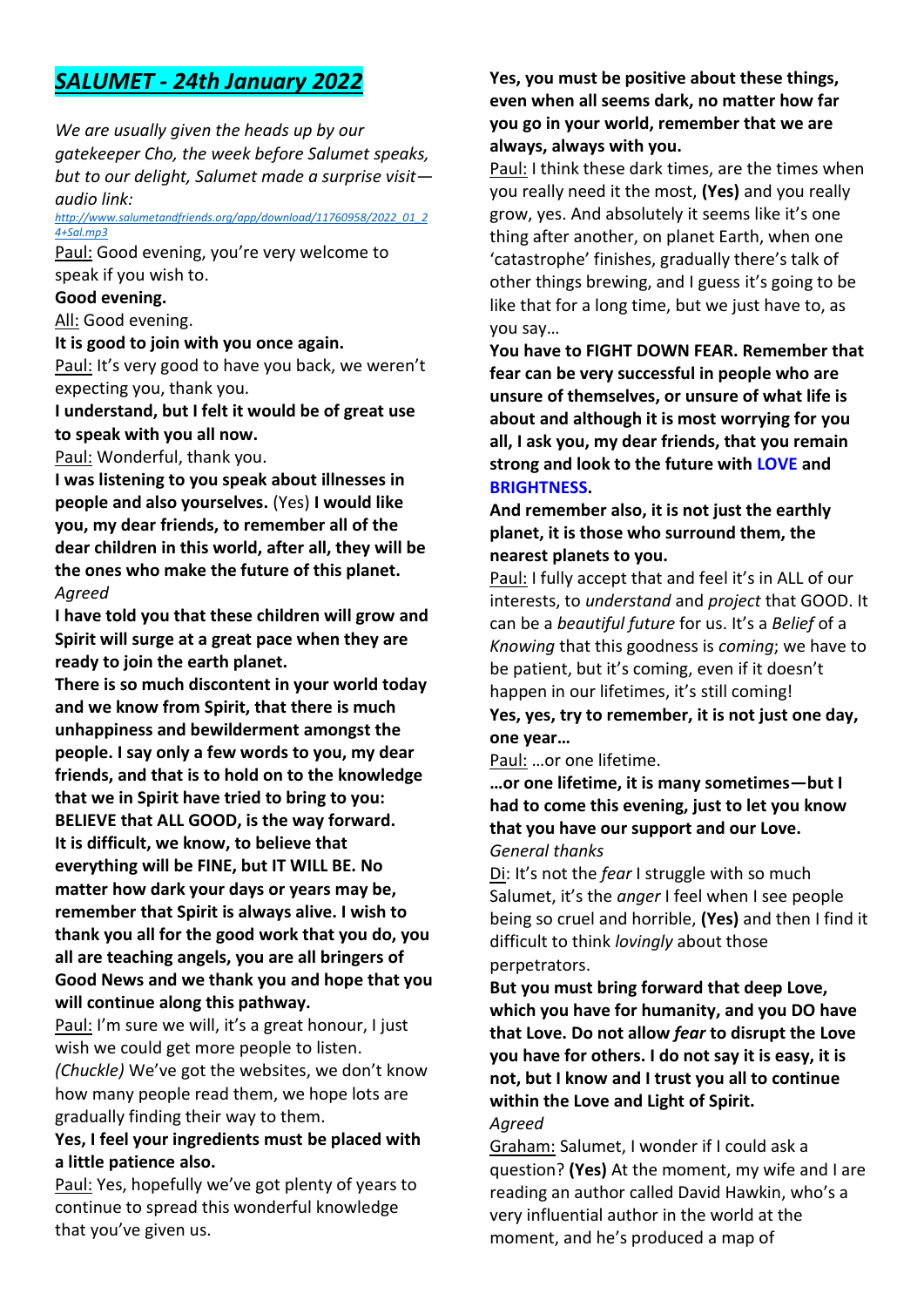# *SALUMET - 24th January 2022*

*We are usually given the heads up by our gatekeeper Cho, the week before Salumet speaks, but to our delight, Salumet made a surprise visit audio link:*

#### *[http://www.salumetandfriends.org/app/download/11760958/2022\\_01\\_2](http://www.salumetandfriends.org/app/download/11760958/2022_01_24+Sal.mp3) [4+Sal.mp3](http://www.salumetandfriends.org/app/download/11760958/2022_01_24+Sal.mp3)*

Paul: Good evening, you're very welcome to speak if you wish to.

## **Good evening.**

All: Good evening.

**It is good to join with you once again.**

Paul: It's very good to have you back, we weren't expecting you, thank you.

## **I understand, but I felt it would be of great use to speak with you all now.**

Paul: Wonderful, thank you.

**I was listening to you speak about illnesses in people and also yourselves.** (Yes) **I would like you, my dear friends, to remember all of the dear children in this world, after all, they will be the ones who make the future of this planet.** *Agreed*

**I have told you that these children will grow and Spirit will surge at a great pace when they are ready to join the earth planet.**

**There is so much discontent in your world today and we know from Spirit, that there is much unhappiness and bewilderment amongst the people. I say only a few words to you, my dear friends, and that is to hold on to the knowledge that we in Spirit have tried to bring to you: BELIEVE that ALL GOOD, is the way forward. It is difficult, we know, to believe that everything will be FINE, but IT WILL BE. No matter how dark your days or years may be, remember that Spirit is always alive. I wish to thank you all for the good work that you do, you all are teaching angels, you are all bringers of Good News and we thank you and hope that you will continue along this pathway.**

Paul: I'm sure we will, it's a great honour, I just wish we could get more people to listen.

*(Chuckle)* We've got the websites, we don't know how many people read them, we hope lots are gradually finding their way to them.

### **Yes, I feel your ingredients must be placed with a little patience also.**

Paul: Yes, hopefully we've got plenty of years to continue to spread this wonderful knowledge that you've given us.

**Yes, you must be positive about these things, even when all seems dark, no matter how far you go in your world, remember that we are always, always with you.**

Paul: I think these dark times, are the times when you really need it the most, **(Yes)** and you really grow, yes. And absolutely it seems like it's one thing after another, on planet Earth, when one 'catastrophe' finishes, gradually there's talk of other things brewing, and I guess it's going to be like that for a long time, but we just have to, as you say…

**You have to FIGHT DOWN FEAR. Remember that fear can be very successful in people who are unsure of themselves, or unsure of what life is about and although it is most worrying for you all, I ask you, my dear friends, that you remain strong and look to the future with LOVE and BRIGHTNESS.**

**And remember also, it is not just the earthly planet, it is those who surround them, the nearest planets to you.**

Paul: I fully accept that and feel it's in ALL of our interests, to *understand* and *project* that GOOD. It can be a *beautiful future* for us. It's a *Belief* of a *Knowing* that this goodness is *coming*; we have to be patient, but it's coming, even if it doesn't happen in our lifetimes, it's still coming! **Yes, yes, try to remember, it is not just one day, one year…**

Paul: …or one lifetime.

**…or one lifetime, it is many sometimes—but I had to come this evening, just to let you know that you have our support and our Love.** *General thanks*

Di: It's not the *fear* I struggle with so much Salumet, it's the *anger* I feel when I see people being so cruel and horrible, **(Yes)** and then I find it difficult to think *lovingly* about those perpetrators.

**But you must bring forward that deep Love, which you have for humanity, and you DO have that Love. Do not allow** *fear* **to disrupt the Love you have for others. I do not say it is easy, it is not, but I know and I trust you all to continue within the Love and Light of Spirit.**

### *Agreed*

Graham: Salumet, I wonder if I could ask a question? **(Yes)** At the moment, my wife and I are reading an author called David Hawkin, who's a very influential author in the world at the moment, and he's produced a map of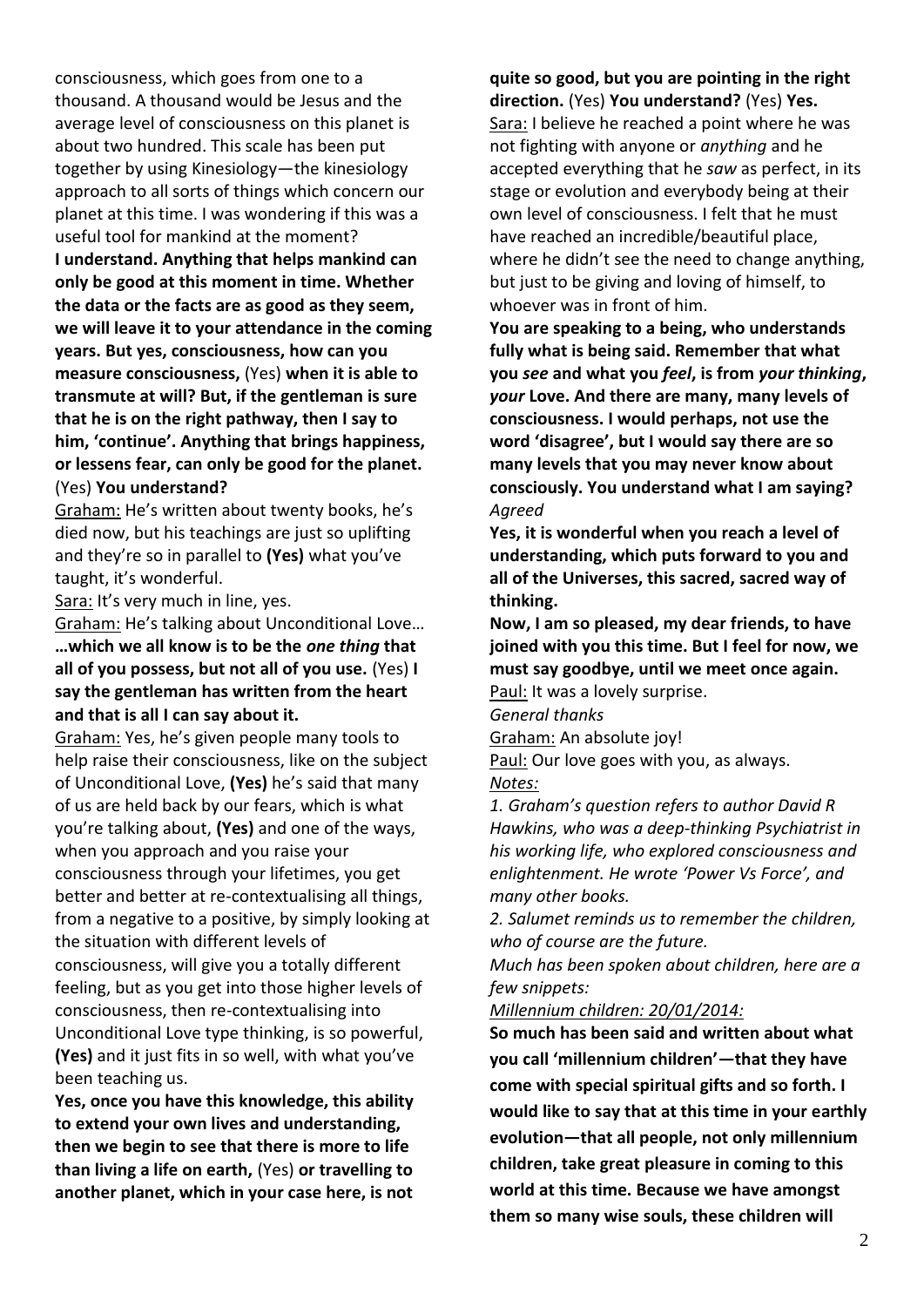consciousness, which goes from one to a thousand. A thousand would be Jesus and the average level of consciousness on this planet is about two hundred. This scale has been put together by using Kinesiology—the kinesiology approach to all sorts of things which concern our planet at this time. I was wondering if this was a useful tool for mankind at the moment?

**I understand. Anything that helps mankind can only be good at this moment in time. Whether the data or the facts are as good as they seem, we will leave it to your attendance in the coming years. But yes, consciousness, how can you measure consciousness,** (Yes) **when it is able to transmute at will? But, if the gentleman is sure that he is on the right pathway, then I say to him, 'continue'. Anything that brings happiness, or lessens fear, can only be good for the planet.** (Yes) **You understand?**

Graham: He's written about twenty books, he's died now, but his teachings are just so uplifting and they're so in parallel to **(Yes)** what you've taught, it's wonderful.

Sara: It's very much in line, yes.

Graham: He's talking about Unconditional Love… **…which we all know is to be the** *one thing* **that all of you possess, but not all of you use.** (Yes) **I say the gentleman has written from the heart and that is all I can say about it.**

Graham: Yes, he's given people many tools to help raise their consciousness, like on the subject of Unconditional Love, **(Yes)** he's said that many of us are held back by our fears, which is what you're talking about, **(Yes)** and one of the ways, when you approach and you raise your consciousness through your lifetimes, you get better and better at re-contextualising all things, from a negative to a positive, by simply looking at the situation with different levels of consciousness, will give you a totally different feeling, but as you get into those higher levels of consciousness, then re-contextualising into Unconditional Love type thinking, is so powerful, **(Yes)** and it just fits in so well, with what you've been teaching us.

**Yes, once you have this knowledge, this ability to extend your own lives and understanding, then we begin to see that there is more to life than living a life on earth,** (Yes) **or travelling to another planet, which in your case here, is not** 

**quite so good, but you are pointing in the right direction.** (Yes) **You understand?** (Yes) **Yes.** Sara: I believe he reached a point where he was not fighting with anyone or *anything* and he accepted everything that he *saw* as perfect, in its stage or evolution and everybody being at their own level of consciousness. I felt that he must have reached an incredible/beautiful place, where he didn't see the need to change anything, but just to be giving and loving of himself, to whoever was in front of him.

**You are speaking to a being, who understands fully what is being said. Remember that what you** *see* **and what you** *feel***, is from** *your thinking***,**  *your* **Love. And there are many, many levels of consciousness. I would perhaps, not use the word 'disagree', but I would say there are so many levels that you may never know about consciously. You understand what I am saying?** *Agreed*

**Yes, it is wonderful when you reach a level of understanding, which puts forward to you and all of the Universes, this sacred, sacred way of thinking.**

**Now, I am so pleased, my dear friends, to have joined with you this time. But I feel for now, we must say goodbye, until we meet once again.**

Paul: It was a lovely surprise.

*General thanks*

Graham: An absolute joy!

Paul: Our love goes with you, as always. *Notes:*

*1. Graham's question refers to author David R Hawkins, who was a deep-thinking Psychiatrist in his working life, who explored consciousness and enlightenment. He wrote 'Power Vs Force', and many other books.*

*2. Salumet reminds us to remember the children, who of course are the future.*

*Much has been spoken about children, here are a few snippets:* 

*Millennium children: 20/01/2014:*

**So much has been said and written about what you call 'millennium children'—that they have come with special spiritual gifts and so forth. I would like to say that at this time in your earthly evolution—that all people, not only millennium children, take great pleasure in coming to this world at this time. Because we have amongst them so many wise souls, these children will**